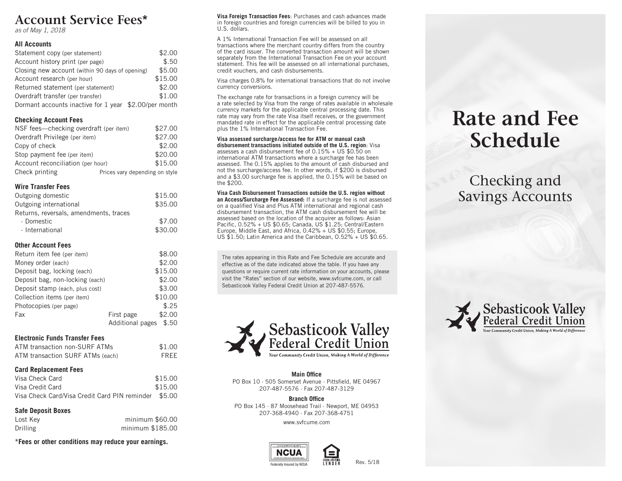## **Account Service Fees\***

*as of May 1, 2018*

#### **All Accounts**

| Statement copy (per statement)                        | \$2.00  |
|-------------------------------------------------------|---------|
| Account history print (per page)                      | \$.50   |
| Closing new account (within 90 days of opening)       | \$5.00  |
| Account research (per hour)                           | \$15.00 |
| Returned statement (per statement)                    | \$2.00  |
| Overdraft transfer (per transfer)                     | \$1.00  |
| Dormant accounts inactive for 1 year \$2.00/per month |         |

### **Checking Account Fees**

| NSF fees—checking overdraft (per item) | \$27.00                        |  |  |
|----------------------------------------|--------------------------------|--|--|
| Overdraft Privilege (per item)         | \$27.00                        |  |  |
| Copy of check                          | \$2.00                         |  |  |
| Stop payment fee (per item)            | \$20.00                        |  |  |
| Account reconciliation (per hour)      | \$15.00                        |  |  |
| Check printing                         | Prices vary depending on style |  |  |

## **Wire Transfer Fees**

| Outgoing domestic                      | \$15.00 |
|----------------------------------------|---------|
| Outgoing international                 | \$35.00 |
| Returns, reversals, amendments, traces |         |
| · Domestic                             | \$7.00  |
| · International                        | \$30.00 |

## **Other Account Fees**

| Return item fee (per item)      |                  | \$8.00  |
|---------------------------------|------------------|---------|
| Money order (each)              |                  | \$2.00  |
| Deposit bag, locking (each)     |                  | \$15.00 |
| Deposit bag, non-locking (each) |                  | \$2.00  |
| Deposit stamp (each, plus cost) |                  | \$3.00  |
| Collection items (per item)     |                  | \$10.00 |
| Photocopies (per page)          |                  | \$.25   |
| Fax                             | First page       | \$2.00  |
|                                 | Additional pages | \$.50   |

## **Electronic Funds Transfer Fees**

|  | ATM transaction non-SURF ATMs    | \$1.00 |
|--|----------------------------------|--------|
|  | ATM transaction SURF ATMs (each) | FREE   |

## **Card Replacement Fees**

| Visa Check Card                                      | \$15.00 |
|------------------------------------------------------|---------|
| Visa Credit Card                                     | \$15.00 |
| Visa Check Card/Visa Credit Card PIN reminder \$5,00 |         |

## **Safe Deposit Boxes**

| Lost Kev | minimum \$60.00  |
|----------|------------------|
| Drilling | minimum \$185.00 |
|          |                  |

**\*Fees or other conditions may reduce your earnings.**

**Visa Foreign Transaction Fees**: Purchases and cash advances made in foreign countries and foreign currencies will be billed to you in U.S. dollars.

A 1% International Transaction Fee will be assessed on all transactions where the merchant country differs from the country of the card issuer. The converted transaction amount will be shown separately from the International Transaction Fee on your account statement. This fee will be assessed on all international purchases, credit vouchers, and cash disbursements.

Visa charges 0.8% for international transactions that do not involve currency conversions.

The exchange rate for transactions in a foreign currency will be a rate selected by Visa from the range of rates available in wholesale currency markets for the applicable central processing date. This rate may vary from the rate Visa itself receives, or the government mandated rate in effect for the applicable central processing date plus the 1% International Transaction Fee.

#### **Visa assessed surcharge/access fee for ATM or manual cash disbursement transactions initiated outside of the U.S. region**: Visa assesses a cash disbursement fee of 0.15% + US \$0.50 on

international ATM transactions where a surcharge fee has been assessed. The 0.15% applies to the amount of cash disbursed and not the surcharge/access fee. In other words, if \$200 is disbursed and a \$3.00 surcharge fee is applied, the 0.15% will be based on the \$200.

## **Visa Cash Disbursement Transactions outside the U.S. region without**

**an Access/Surcharge Fee Assessed:** If a surcharge fee is not assessed on a qualified Visa and Plus ATM international and regional cash disbursement transaction, the ATM cash disbursement fee will be assessed based on the location of the acquirer as follows: Asian Pacific, 0.52% + US \$0.65; Canada, US \$1.25; Central/Eastern Europe, Middle East, and Africa, 0.42% + US \$0.55; Europe, US \$1.50; Latin America and the Caribbean, O.52% + US \$0.65.

The rates appearing in this Rate and Fee Schedule are accurate and effective as of the date indicated above the table. If you have any questions or require current rate information on your accounts, please visit the "Rates" section of our website, www.svfcume.com, or call Sebasticook Valley Federal Credit Union at 207-487-5576.



### **Main Office**

PO Box 10 · 505 Somerset Avenue · Pittsfield, ME 04967 207-487-5576 · Fax 207-487-3129

**Branch Office** PO Box 145 · 87 Moosehead Trail · Newport, ME 04953 207-368-4940 · Fax 207-368-4751

www.svfcume.com





## **Rate and Fee Schedule**

Checking and Savings Accounts



Rev. 5/18